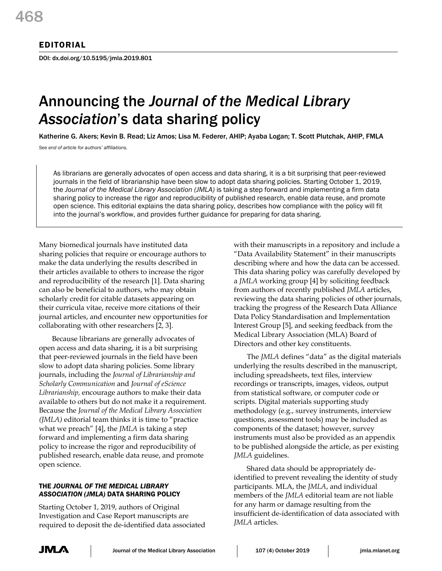# EDITORIAL

DOI: dx.doi.org/10.5195/jmla.2019.801

# Announcing the *Journal of the Medical Library Association*'s data sharing policy

Katherine G. Akers; Kevin B. Read; Liz Amos; Lisa M. Federer, AHIP; Ayaba Logan; T. Scott Plutchak, AHIP, FMLA

*See end of article for authors' affiliations.*

As librarians are generally advocates of open access and data sharing, it is a bit surprising that peer-reviewed journals in the field of librarianship have been slow to adopt data sharing policies. Starting October 1, 2019, the *Journal of the Medical Library Association (JMLA)* is taking a step forward and implementing a firm data sharing policy to increase the rigor and reproducibility of published research, enable data reuse, and promote open science. This editorial explains the data sharing policy, describes how compliance with the policy will fit into the journal's workflow, and provides further guidance for preparing for data sharing.

Many biomedical journals have instituted data sharing policies that require or encourage authors to make the data underlying the results described in their articles available to others to increase the rigor and reproducibility of the research [1]. Data sharing can also be beneficial to authors, who may obtain scholarly credit for citable datasets appearing on their curricula vitae, receive more citations of their journal articles, and encounter new opportunities for collaborating with other researchers [2, 3].

Because librarians are generally advocates of open access and data sharing, it is a bit surprising that peer-reviewed journals in the field have been slow to adopt data sharing policies. Some library journals, including the *Journal of Librarianship and Scholarly Communication* and *Journal of eScience Librarianship,* encourage authors to make their data available to others but do not make it a requirement. Because the *Journal of the Medical Library Association (JMLA)* editorial team thinks it is time to "practice what we preach" [4], the *JMLA* is taking a step forward and implementing a firm data sharing policy to increase the rigor and reproducibility of published research, enable data reuse, and promote open science.

# THE *JOURNAL OF THE MEDICAL LIBRARY ASSOCIATION (JMLA)* DATA SHARING POLICY

Starting October 1, 2019, authors of Original Investigation and Case Report manuscripts are required to deposit the de-identified data associated with their manuscripts in a repository and include a "Data Availability Statement" in their manuscripts describing where and how the data can be accessed. This data sharing policy was carefully developed by a *JMLA* working group [4] by soliciting feedback from authors of recently published *JMLA* articles, reviewing the data sharing policies of other journals, tracking the progress of the Research Data Alliance Data Policy Standardisation and Implementation Interest Group [5], and seeking feedback from the Medical Library Association (MLA) Board of Directors and other key constituents.

The *JMLA* defines "data" as the digital materials underlying the results described in the manuscript, including spreadsheets, text files, interview recordings or transcripts, images, videos, output from statistical software, or computer code or scripts. Digital materials supporting study methodology (e.g., survey instruments, interview questions, assessment tools) may be included as components of the dataset; however, survey instruments must also be provided as an appendix to be published alongside the article, as per existing *JMLA* guidelines.

Shared data should be appropriately deidentified to prevent revealing the identity of study participants. MLA, the *JMLA*, and individual members of the *JMLA* editorial team are not liable for any harm or damage resulting from the insufficient de-identification of data associated with *JMLA* articles.

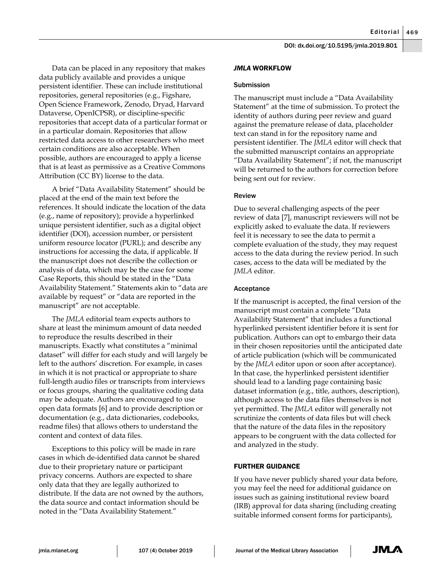Data can be placed in any repository that makes data publicly available and provides a unique persistent identifier. These can include institutional repositories, general repositories (e.g., Figshare, Open Science Framework, Zenodo, Dryad, Harvard Dataverse, OpenICPSR), or discipline-specific repositories that accept data of a particular format or in a particular domain. Repositories that allow restricted data access to other researchers who meet certain conditions are also acceptable. When possible, authors are encouraged to apply a license that is at least as permissive as a Creative Commons Attribution (CC BY) license to the data.

A brief "Data Availability Statement" should be placed at the end of the main text before the references. It should indicate the location of the data (e.g., name of repository); provide a hyperlinked unique persistent identifier, such as a digital object identifier (DOI), accession number, or persistent uniform resource locator (PURL); and describe any instructions for accessing the data, if applicable. If the manuscript does not describe the collection or analysis of data, which may be the case for some Case Reports, this should be stated in the "Data Availability Statement." Statements akin to "data are available by request" or "data are reported in the manuscript" are not acceptable.

The *JMLA* editorial team expects authors to share at least the minimum amount of data needed to reproduce the results described in their manuscripts. Exactly what constitutes a "minimal dataset" will differ for each study and will largely be left to the authors' discretion. For example, in cases in which it is not practical or appropriate to share full-length audio files or transcripts from interviews or focus groups, sharing the qualitative coding data may be adequate. Authors are encouraged to use open data formats [6] and to provide description or documentation (e.g., data dictionaries, codebooks, readme files) that allows others to understand the content and context of data files.

Exceptions to this policy will be made in rare cases in which de-identified data cannot be shared due to their proprietary nature or participant privacy concerns. Authors are expected to share only data that they are legally authorized to distribute. If the data are not owned by the authors, the data source and contact information should be noted in the "Data Availability Statement."

# *JMLA* WORKFLOW

#### Submission

The manuscript must include a "Data Availability Statement" at the time of submission. To protect the identity of authors during peer review and guard against the premature release of data, placeholder text can stand in for the repository name and persistent identifier. The *JMLA* editor will check that the submitted manuscript contains an appropriate "Data Availability Statement"; if not, the manuscript will be returned to the authors for correction before being sent out for review.

## Review

Due to several challenging aspects of the peer review of data [7], manuscript reviewers will not be explicitly asked to evaluate the data. If reviewers feel it is necessary to see the data to permit a complete evaluation of the study, they may request access to the data during the review period. In such cases, access to the data will be mediated by the *JMLA* editor.

#### Acceptance

If the manuscript is accepted, the final version of the manuscript must contain a complete "Data Availability Statement" that includes a functional hyperlinked persistent identifier before it is sent for publication. Authors can opt to embargo their data in their chosen repositories until the anticipated date of article publication (which will be communicated by the *JMLA* editor upon or soon after acceptance). In that case, the hyperlinked persistent identifier should lead to a landing page containing basic dataset information (e.g., title, authors, description), although access to the data files themselves is not yet permitted. The *JMLA* editor will generally not scrutinize the contents of data files but will check that the nature of the data files in the repository appears to be congruent with the data collected for and analyzed in the study.

### FURTHER GUIDANCE

If you have never publicly shared your data before, you may feel the need for additional guidance on issues such as gaining institutional review board (IRB) approval for data sharing (including creating suitable informed consent forms for participants),

JMLA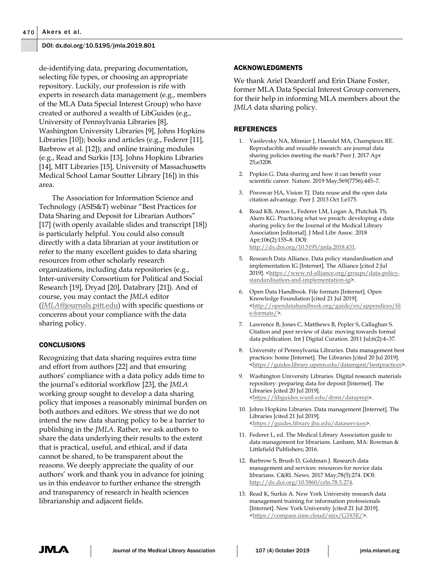## DOI: dx.doi.org/10.5195/jmla.2019.801

de-identifying data, preparing documentation, selecting file types, or choosing an appropriate repository. Luckily, our profession is rife with experts in research data management (e.g., members of the MLA Data Special Interest Group) who have created or authored a wealth of LibGuides (e.g., University of Pennsylvania Libraries [8], Washington University Libraries [9], Johns Hopkins Libraries [10]); books and articles (e.g., Federer [11], Barbrow et al. [12]); and online training modules (e.g., Read and Surkis [13], Johns Hopkins Libraries [14], MIT Libraries [15], University of Massachusetts Medical School Lamar Soutter Library [16]) in this area.

The Association for Information Science and Technology (ASIS&T) webinar "Best Practices for Data Sharing and Deposit for Librarian Authors" [17] (with openly available slides and transcript [18]) is particularly helpful. You could also consult directly with a data librarian at your institution or refer to the many excellent guides to data sharing resources from other scholarly research organizations, including data repositories (e.g., Inter-university Consortium for Political and Social Research [19], Dryad [20], Databrary [21]). And of course, you may contact the *JMLA* editor (*JMLA*@journals.pitt.edu) with specific questions or concerns about your compliance with the data sharing policy.

## **CONCLUSIONS**

Recognizing that data sharing requires extra time and effort from authors [22] and that ensuring authors' compliance with a data policy adds time to the journal's editorial workflow [23], the *JMLA* working group sought to develop a data sharing policy that imposes a reasonably minimal burden on both authors and editors. We stress that we do not intend the new data sharing policy to be a barrier to publishing in the *JMLA*. Rather, we ask authors to share the data underlying their results to the extent that is practical, useful, and ethical, and if data cannot be shared, to be transparent about the reasons. We deeply appreciate the quality of our authors' work and thank you in advance for joining us in this endeavor to further enhance the strength and transparency of research in health sciences librarianship and adjacent fields.

## ACKNOWLEDGMENTS

We thank Ariel Deardorff and Erin Diane Foster, former MLA Data Special Interest Group conveners, for their help in informing MLA members about the *JMLA* data sharing policy.

#### REFERENCES

- 1. Vasilevsky NA, Minnier J, Haendel MA, Champieux RE. Reproducible and reusable research: are journal data sharing policies meeting the mark? Peer J. 2017 Apr 25;e3208.
- 2. Popkin G. Data sharing and how it can benefit your scientific career. Nature. 2019 May;569(7756):445–7.
- 3. Piwowar HA, Vision TJ. Data reuse and the open data citation advantage. Peer J. 2013 Oct 1;e175.
- 4. Read KB, Amos L, Federer LM, Logan A, Plutchak TS, Akers KG. Practicing what we preach: developing a data sharing policy for the Journal of the Medical Library Association [editorial]. J Med Libr Assoc. 2018 Apr;106(2):155–8. DOI: http://dx.doi.org/10.5195/jmla.2018.431.
- 5. Research Data Alliance. Data policy standardisation and implementation IG [Internet]. The Alliance [cited 2 Jul 2019]. <https://www.rd-alliance.org/groups/data-policystandardisation-and-implementation-ig>.
- 6. Open Data Handbook. File formats [Internet]. Open Knowledge Foundation [cited 21 Jul 2019]. <http://opendatahandbook.org/guide/en/appendices/fil e-formats/>.
- 7. Lawrence B, Jones C, Matthews B, Pepler S, Callaghan S. Citation and peer review of data: moving towards formal data publication. Int J Digital Curation. 2011 Jul;6(2):4–37.
- 8. University of Pennsylvania Libraries. Data management best practices: home [Internet]. The Libraries [cited 20 Jul 2019]. <https://guides.library.upenn.edu/datamgmt/bestpractices>.
- 9. Washington University Libraries. Digital research materials repository: preparing data for deposit [Internet]. The Libraries [cited 20 Jul 2019]. <https://libguides.wustl.edu/drmr/dataprep>.
- 10. Johns Hopkins Libraries. Data management [Internet]. The Libraries [cited 21 Jul 2019]. <https://guides.library.jhu.edu/dataservices>.
- 11. Federer L, ed. The Medical Library Association guide to data management for librarians. Lanham, MA: Rowman & Littlefield Publishers; 2016.
- 12. Barbrow S, Brush D, Goldman J. Research data management and services: resources for novice data librarians. C&RL News. 2017 May;78(5):274. DOI: http://dx.doi.org/10.5860/crln.78.5.274.
- 13. Read K, Surkis A. New York University research data management training for information professionals [Internet]. New York University [cited 21 Jul 2019]. <https://compass.iime.cloud/mix/G3X5E/>.